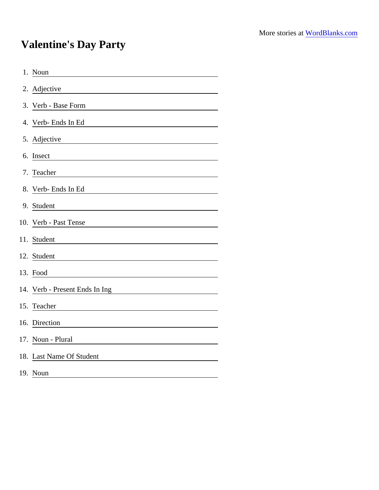## Valentine's Day Party

| 1. Noun                        |
|--------------------------------|
| 2. Adjective                   |
| 3. Verb - Base Form            |
| 4. Verb- Ends In Ed            |
| 5. Adjective                   |
| 6. Insect                      |
| 7. Teacher                     |
| 8. Verb- Ends In Ed            |
| 9. Student                     |
| 10. Verb - Past Tense          |
| 11. Student                    |
| 12. Student                    |
| 13. Food                       |
| 14. Verb - Present Ends In Ing |
| 15. Teacher                    |
| 16. Direction                  |
| 17. Noun - Plural              |
| 18. Last Name Of Student       |
| 19. Noun                       |